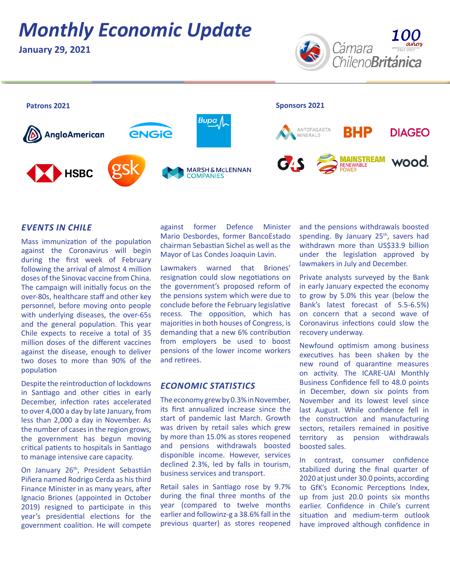# *Monthly Economic Update*

**January 29, 2021**





#### *EVENTS IN CHILE*

Mass immunization of the population against the Coronavirus will begin during the first week of February following the arrival of almost 4 million doses of the Sinovac vaccine from China. The campaign will initially focus on the over-80s, healthcare staff and other key personnel, before moving onto people with underlying diseases, the over-65s and the general population. This year Chile expects to receive a total of 35 million doses of the different vaccines against the disease, enough to deliver two doses to more than 90% of the population

Despite the reintroduction of lockdowns in Santiago and other cities in early December, infection rates accelerated to over 4,000 a day by late January, from less than 2,000 a day in November. As the number of cases in the region grows, the government has begun moving critical patients to hospitals in Santiago to manage intensive care capacity.

On January 26<sup>th</sup>, President Sebastián Piñera named Rodrigo Cerda as his third Finance Minister in as many years, after Ignacio Briones (appointed in October 2019) resigned to participate in this year's presidential elections for the government coalition. He will compete against former Defence Minister Mario Desbordes, former BancoEstado chairman Sebastian Sichel as well as the Mayor of Las Condes Joaquin Lavin.

Lawmakers warned that Briones' resignation could slow negotiations on the government's proposed reform of the pensions system which were due to conclude before the February legislative recess. The opposition, which has majorities in both houses of Congress, is demanding that a new 6% contribution from employers be used to boost pensions of the lower income workers and retirees.

### *ECONOMIC STATISTICS*

The economy grew by 0.3% in November, its first annualized increase since the start of pandemic last March. Growth was driven by retail sales which grew by more than 15.0% as stores reopened and pensions withdrawals boosted disponible income. However, services declined 2.3%, led by falls in tourism, business services and transport.

Retail sales in Santiago rose by 9.7% during the final three months of the year (compared to twelve months earlier and followinz-g a 38.6% fall in the previous quarter) as stores reopened

and the pensions withdrawals boosted spending. By January  $25<sup>th</sup>$ , savers had withdrawn more than US\$33.9 billion under the legislation approved by lawmakers in July and December.

Private analysts surveyed by the Bank in early January expected the economy to grow by 5.0% this year (below the Bank's latest forecast of 5.5-6.5%) on concern that a second wave of Coronavirus infections could slow the recovery underway.

Newfound optimism among business executives has been shaken by the new round of quarantine measures on activity. The ICARE-UAI Monthly Business Confidence fell to 48.0 points in December, down six points from November and its lowest level since last August. While confidence fell in the construction and manufacturing sectors, retailers remained in positive territory as pension withdrawals boosted sales.

In contrast, consumer confidence stabilized during the final quarter of 2020 at just under 30.0 points, according to GfK's Economic Perceptions Index, up from just 20.0 points six months earlier. Confidence in Chile's current situation and medium-term outlook have improved although confidence in